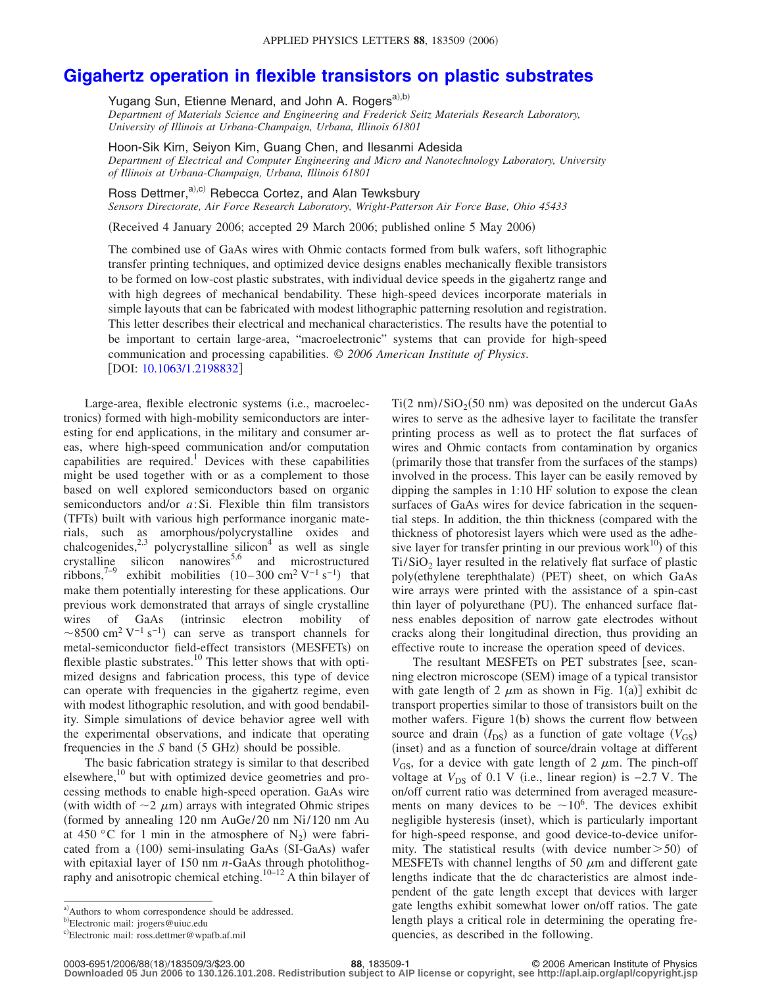## **[Gigahertz operation in flexible transistors on plastic substrates](http://dx.doi.org/10.1063/1.2198832)**

Yugang Sun, Etienne Menard, and John A. Rogers<sup>a),b)</sup>

*Department of Materials Science and Engineering and Frederick Seitz Materials Research Laboratory, University of Illinois at Urbana-Champaign, Urbana, Illinois 61801*

Hoon-Sik Kim, Seiyon Kim, Guang Chen, and Ilesanmi Adesida

*Department of Electrical and Computer Engineering and Micro and Nanotechnology Laboratory, University of Illinois at Urbana-Champaign, Urbana, Illinois 61801*

Ross Dettmer, $a^{(i), (i)}$  Rebecca Cortez, and Alan Tewksbury

*Sensors Directorate, Air Force Research Laboratory, Wright-Patterson Air Force Base, Ohio 45433*

(Received 4 January 2006; accepted 29 March 2006; published online 5 May 2006)

The combined use of GaAs wires with Ohmic contacts formed from bulk wafers, soft lithographic transfer printing techniques, and optimized device designs enables mechanically flexible transistors to be formed on low-cost plastic substrates, with individual device speeds in the gigahertz range and with high degrees of mechanical bendability. These high-speed devices incorporate materials in simple layouts that can be fabricated with modest lithographic patterning resolution and registration. This letter describes their electrical and mechanical characteristics. The results have the potential to be important to certain large-area, "macroelectronic" systems that can provide for high-speed communication and processing capabilities. © *2006 American Institute of Physics*. [DOI: [10.1063/1.2198832](http://dx.doi.org/10.1063/1.2198832)]

Large-area, flexible electronic systems (i.e., macroelectronics) formed with high-mobility semiconductors are interesting for end applications, in the military and consumer areas, where high-speed communication and/or computation capabilities are required.<sup>1</sup> Devices with these capabilities might be used together with or as a complement to those based on well explored semiconductors based on organic semiconductors and/or *a*:Si. Flexible thin film transistors (TFTs) built with various high performance inorganic materials, such as amorphous/polycrystalline oxides and chalcogenides,<sup>2,3</sup> polycrystalline silicon<sup>4</sup> as well as single crystalline silicon nanowires<sup>5,6</sup> and microstructured ribbons,<sup>7-9</sup> exhibit mobilities  $(10-300 \text{ cm}^2 \text{ V}^{-1} \text{ s}^{-1})$  that make them potentially interesting for these applications. Our previous work demonstrated that arrays of single crystalline wires of GaAs (intrinsic electron mobility of ~8500 cm<sup>2</sup> V<sup>-1</sup> s<sup>-1</sup>) can serve as transport channels for metal-semiconductor field-effect transistors (MESFETs) on flexible plastic substrates.<sup>10</sup> This letter shows that with optimized designs and fabrication process, this type of device can operate with frequencies in the gigahertz regime, even with modest lithographic resolution, and with good bendability. Simple simulations of device behavior agree well with the experimental observations, and indicate that operating frequencies in the  $S$  band  $(5 \text{ GHz})$  should be possible.

The basic fabrication strategy is similar to that described elsewhere, $10$  but with optimized device geometries and processing methods to enable high-speed operation. GaAs wire (with width of  $\sim$ 2  $\mu$ m) arrays with integrated Ohmic stripes formed by annealing 120 nm AuGe/ 20 nm Ni/ 120 nm Au at 450 °C for 1 min in the atmosphere of  $N_2$ ) were fabricated from a (100) semi-insulating GaAs (SI-GaAs) wafer with epitaxial layer of 150 nm *n*-GaAs through photolithography and anisotropic chemical etching.<sup>10–12</sup> A thin bilayer of

 $Ti(2 \text{ nm})/SiO_2(50 \text{ nm})$  was deposited on the undercut GaAs wires to serve as the adhesive layer to facilitate the transfer printing process as well as to protect the flat surfaces of wires and Ohmic contacts from contamination by organics (primarily those that transfer from the surfaces of the stamps) involved in the process. This layer can be easily removed by dipping the samples in 1:10 HF solution to expose the clean surfaces of GaAs wires for device fabrication in the sequential steps. In addition, the thin thickness compared with the thickness of photoresist layers which were used as the adhesive layer for transfer printing in our previous work $^{10}$ ) of this  $Ti/SiO<sub>2</sub>$  layer resulted in the relatively flat surface of plastic poly(ethylene terephthalate) (PET) sheet, on which GaAs wire arrays were printed with the assistance of a spin-cast thin layer of polyurethane (PU). The enhanced surface flatness enables deposition of narrow gate electrodes without cracks along their longitudinal direction, thus providing an effective route to increase the operation speed of devices.

The resultant MESFETs on PET substrates [see, scanning electron microscope (SEM) image of a typical transistor with gate length of 2  $\mu$ m as shown in Fig. 1(a)] exhibit dc transport properties similar to those of transistors built on the mother wafers. Figure 1(b) shows the current flow between source and drain  $(I_{DS})$  as a function of gate voltage  $(V_{GS})$ (inset) and as a function of source/drain voltage at different  $V_{GS}$ , for a device with gate length of 2  $\mu$ m. The pinch-off voltage at  $V_{DS}$  of 0.1 V (i.e., linear region) is  $-2.7$  V. The on/off current ratio was determined from averaged measurements on many devices to be  $\sim 10^6$ . The devices exhibit negligible hysteresis (inset), which is particularly important for high-speed response, and good device-to-device uniformity. The statistical results (with device number  $> 50$ ) of MESFETs with channel lengths of 50  $\mu$ m and different gate lengths indicate that the dc characteristics are almost independent of the gate length except that devices with larger gate lengths exhibit somewhat lower on/off ratios. The gate length plays a critical role in determining the operating frequencies, as described in the following.

a) Authors to whom correspondence should be addressed.

<sup>&</sup>lt;sup>b)</sup>Electronic mail: jrogers@uiuc.edu

c)Electronic mail: ross.dettmer@wpafb.af.mil

**<sup>88</sup>**, 183509-1 © 2006 American Institute of Physics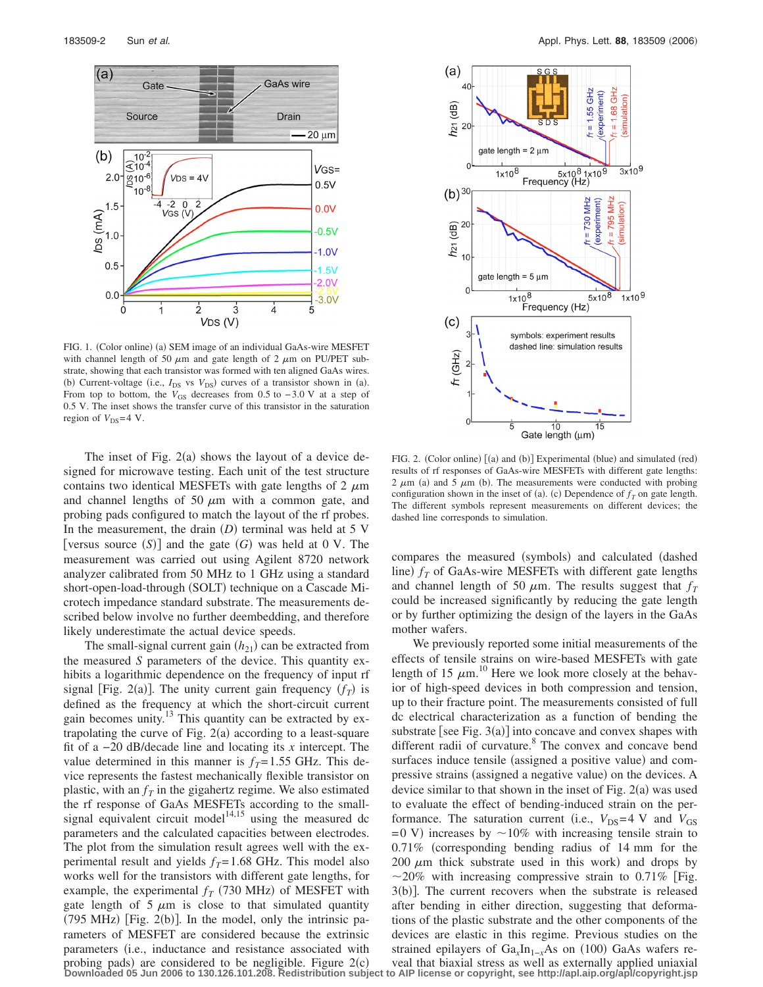

FIG. 1. (Color online) (a) SEM image of an individual GaAs-wire MESFET with channel length of 50  $\mu$ m and gate length of 2  $\mu$ m on PU/PET substrate, showing that each transistor was formed with ten aligned GaAs wires. (b) Current-voltage (i.e.,  $I_{DS}$  vs  $V_{DS}$ ) curves of a transistor shown in (a). From top to bottom, the *V*<sub>GS</sub> decreases from 0.5 to −3.0 V at a step of 0.5 V. The inset shows the transfer curve of this transistor in the saturation region of  $V_{DS}=4$  V.

The inset of Fig.  $2(a)$  shows the layout of a device designed for microwave testing. Each unit of the test structure contains two identical MESFETs with gate lengths of 2  $\mu$ m and channel lengths of 50  $\mu$ m with a common gate, and probing pads configured to match the layout of the rf probes. In the measurement, the drain  $(D)$  terminal was held at 5 V [versus source  $(S)$ ] and the gate  $(G)$  was held at 0 V. The measurement was carried out using Agilent 8720 network analyzer calibrated from 50 MHz to 1 GHz using a standard short-open-load-through (SOLT) technique on a Cascade Microtech impedance standard substrate. The measurements described below involve no further deembedding, and therefore likely underestimate the actual device speeds.

The small-signal current gain  $(h_{21})$  can be extracted from the measured *S* parameters of the device. This quantity exhibits a logarithmic dependence on the frequency of input rf signal [Fig. 2(a)]. The unity current gain frequency  $(f_T)$  is defined as the frequency at which the short-circuit current gain becomes unity. $13$  This quantity can be extracted by extrapolating the curve of Fig.  $2(a)$  according to a least-square fit of a −20 dB/decade line and locating its *x* intercept. The value determined in this manner is  $f_T = 1.55$  GHz. This device represents the fastest mechanically flexible transistor on plastic, with an  $f<sub>T</sub>$  in the gigahertz regime. We also estimated the rf response of GaAs MESFETs according to the smallsignal equivalent circuit model<sup>14,15</sup> using the measured dc parameters and the calculated capacities between electrodes. The plot from the simulation result agrees well with the experimental result and yields  $f_T$ = 1.68 GHz. This model also works well for the transistors with different gate lengths, for example, the experimental  $f_T$  (730 MHz) of MESFET with gate length of 5  $\mu$ m is close to that simulated quantity  $(795 \text{ MHz})$  [Fig. 2(b)]. In the model, only the intrinsic parameters of MESFET are considered because the extrinsic parameters (i.e., inductance and resistance associated with



FIG. 2. (Color online) [(a) and (b)] Experimental (blue) and simulated (red) results of rf responses of GaAs-wire MESFETs with different gate lengths:  $2 \mu m$  (a) and  $5 \mu m$  (b). The measurements were conducted with probing configuration shown in the inset of (a). (c) Dependence of  $f<sub>T</sub>$  on gate length. The different symbols represent measurements on different devices; the dashed line corresponds to simulation.

compares the measured (symbols) and calculated (dashed line)  $f_T$  of GaAs-wire MESFETs with different gate lengths and channel length of 50  $\mu$ m. The results suggest that  $f<sub>T</sub>$ could be increased significantly by reducing the gate length or by further optimizing the design of the layers in the GaAs mother wafers.

We previously reported some initial measurements of the effects of tensile strains on wire-based MESFETs with gate length of 15  $\mu$ m.<sup>10</sup> Here we look more closely at the behavior of high-speed devices in both compression and tension, up to their fracture point. The measurements consisted of full dc electrical characterization as a function of bending the substrate [see Fig.  $3(a)$ ] into concave and convex shapes with different radii of curvature.<sup>8</sup> The convex and concave bend surfaces induce tensile (assigned a positive value) and compressive strains (assigned a negative value) on the devices. A device similar to that shown in the inset of Fig.  $2(a)$  was used to evaluate the effect of bending-induced strain on the performance. The saturation current (i.e.,  $V_{DS} = 4$  V and  $V_{GS}$  $=0$  V) increases by  $\sim$  10% with increasing tensile strain to 0.71% corresponding bending radius of 14 mm for the 200  $\mu$ m thick substrate used in this work) and drops by  $\sim$ 20% with increasing compressive strain to 0.71% [Fig. 3(b)]. The current recovers when the substrate is released after bending in either direction, suggesting that deformations of the plastic substrate and the other components of the devices are elastic in this regime. Previous studies on the strained epilayers of Ga<sub>x</sub>In<sub>1−x</sub>As on (100) GaAs wafers re-

probing pads) are considered to be negligible. Figure 2(c) veal that biaxial stress as well as externally applied uniaxial<br>Downloaded 05 Jun 2006 to 130.126.101.208. Redistribution subject to AIP license or copyright, see